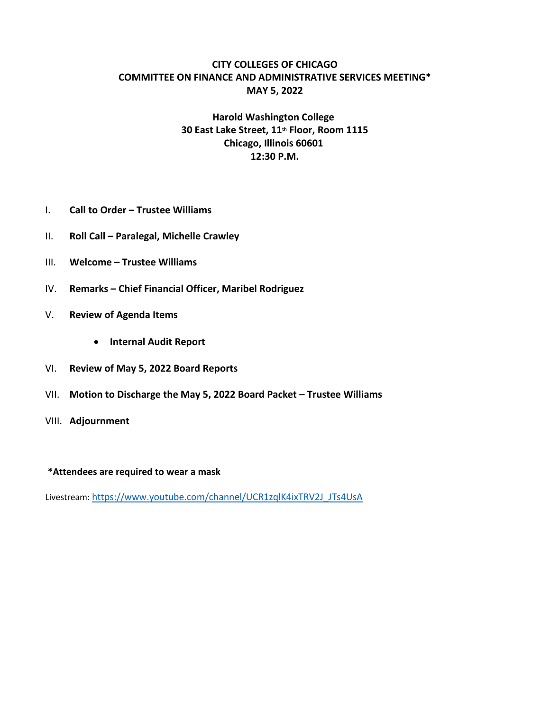### **CITY COLLEGES OF CHICAGO COMMITTEE ON FINANCE AND ADMINISTRATIVE SERVICES MEETING\* MAY 5, 2022**

## **Harold Washington College 30 East Lake Street, 11th Floor, Room 1115 Chicago, Illinois 60601 12:30 P.M.**

- I. **Call to Order – Trustee Williams**
- II. **Roll Call – Paralegal, Michelle Crawley**
- III. **Welcome – Trustee Williams**
- IV. **Remarks – Chief Financial Officer, Maribel Rodriguez**
- V. **Review of Agenda Items** 
	- **Internal Audit Report**
- VI. **Review of May 5, 2022 Board Reports**
- VII. **Motion to Discharge the May 5, 2022 Board Packet – Trustee Williams**
- VIII. **Adjournment**

#### **\*Attendees are required to wear a mask**

Livestream: https://www.youtube.com/channel/UCR1zqlK4ixTRV2J\_JTs4UsA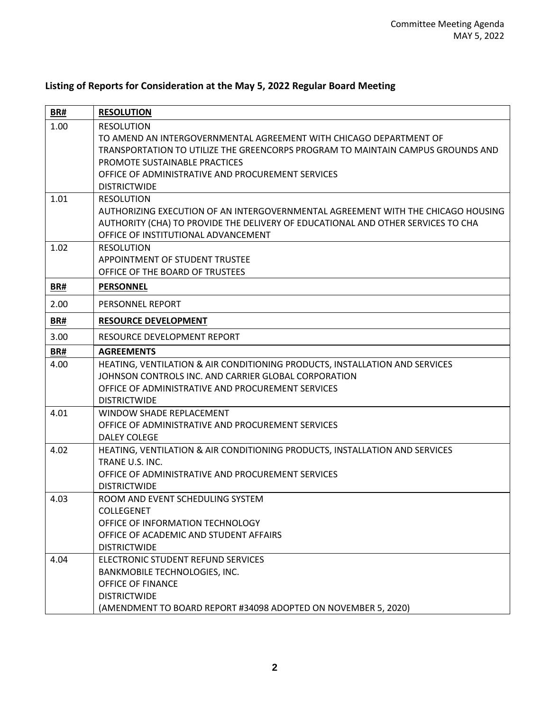# **BR# RESOLUTION** 1.00 RESOLUTION TO AMEND AN INTERGOVERNMENTAL AGREEMENT WITH CHICAGO DEPARTMENT OF TRANSPORTATION TO UTILIZE THE GREENCORPS PROGRAM TO MAINTAIN CAMPUS GROUNDS AND PROMOTE SUSTAINABLE PRACTICES OFFICE OF ADMINISTRATIVE AND PROCUREMENT SERVICES **DISTRICTWIDE** 1.01 RESOLUTION AUTHORIZING EXECUTION OF AN INTERGOVERNMENTAL AGREEMENT WITH THE CHICAGO HOUSING AUTHORITY (CHA) TO PROVIDE THE DELIVERY OF EDUCATIONAL AND OTHER SERVICES TO CHA OFFICE OF INSTITUTIONAL ADVANCEMENT 1.02 RESOLUTION APPOINTMENT OF STUDENT TRUSTEE OFFICE OF THE BOARD OF TRUSTEES **BR# PERSONNEL** 2.00 PERSONNEL REPORT **BR# RESOURCE DEVELOPMENT** 3.00 RESOURCE DEVELOPMENT REPORT **BR# AGREEMENTS** 4.00 HEATING, VENTILATION & AIR CONDITIONING PRODUCTS, INSTALLATION AND SERVICES JOHNSON CONTROLS INC. AND CARRIER GLOBAL CORPORATION OFFICE OF ADMINISTRATIVE AND PROCUREMENT SERVICES DISTRICTWIDE 4.01 WINDOW SHADE REPLACEMENT OFFICE OF ADMINISTRATIVE AND PROCUREMENT SERVICES DALEY COLEGE 4.02 HEATING, VENTILATION & AIR CONDITIONING PRODUCTS, INSTALLATION AND SERVICES TRANE U.S. INC. OFFICE OF ADMINISTRATIVE AND PROCUREMENT SERVICES **DISTRICTWIDE** 4.03 ROOM AND EVENT SCHEDULING SYSTEM COLLEGENET OFFICE OF INFORMATION TECHNOLOGY OFFICE OF ACADEMIC AND STUDENT AFFAIRS DISTRICTWIDE 4.04 ELECTRONIC STUDENT REFUND SERVICES BANKMOBILE TECHNOLOGIES, INC. OFFICE OF FINANCE **DISTRICTWIDE** (AMENDMENT TO BOARD REPORT #34098 ADOPTED ON NOVEMBER 5, 2020)

### **Listing of Reports for Consideration at the May 5, 2022 Regular Board Meeting**